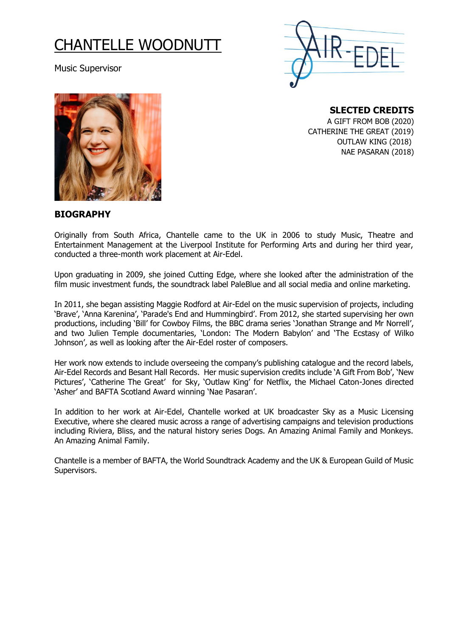## CHANTELLE WOODNUTT

Music Supervisor





**SLECTED CREDITS** 

A GIFT FROM BOB (2020) CATHERINE THE GREAT (2019) OUTLAW KING (2018) NAE PASARAN (2018)

## **BIOGRAPHY**

Originally from South Africa, Chantelle came to the UK in 2006 to study Music, Theatre and Entertainment Management at the Liverpool Institute for Performing Arts and during her third year, conducted a three-month work placement at Air-Edel.

Upon graduating in 2009, she joined Cutting Edge, where she looked after the administration of the film music investment funds, the soundtrack label PaleBlue and all social media and online marketing.

In 2011, she began assisting Maggie Rodford at Air-Edel on the music supervision of projects, including 'Brave', 'Anna Karenina', 'Parade's End and Hummingbird'. From 2012, she started supervising her own productions, including 'Bill' for Cowboy Films, the BBC drama series 'Jonathan Strange and Mr Norrell', and two Julien Temple documentaries, 'London: The Modern Babylon' and 'The Ecstasy of Wilko Johnson', as well as looking after the Air-Edel roster of composers.

Her work now extends to include overseeing the company's publishing catalogue and the record labels, Air-Edel Records and Besant Hall Records. Her music supervision credits include 'A Gift From Bob', 'New Pictures', 'Catherine The Great' for Sky, 'Outlaw King' for Netflix, the Michael Caton-Jones directed 'Asher' and BAFTA Scotland Award winning 'Nae Pasaran'.

In addition to her work at Air-Edel, Chantelle worked at UK broadcaster Sky as a Music Licensing Executive, where she cleared music across a range of advertising campaigns and television productions including Riviera, Bliss, and the natural history series Dogs. An Amazing Animal Family and Monkeys. An Amazing Animal Family.

Chantelle is a member of BAFTA, the World Soundtrack Academy and the UK & European Guild of Music Supervisors.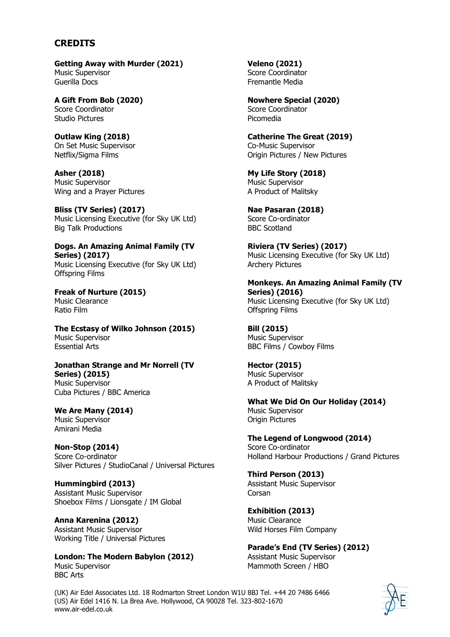## **CREDITS**

**Getting Away with Murder (2021)** Music Supervisor Guerilla Docs

**A Gift From Bob (2020)** Score Coordinator Studio Pictures

**Outlaw King (2018)** On Set Music Supervisor Netflix/Sigma Films

**Asher (2018)** Music Supervisor Wing and a Prayer Pictures

**Bliss (TV Series) (2017)** Music Licensing Executive (for Sky UK Ltd) Big Talk Productions

**Dogs. An Amazing Animal Family (TV Series) (2017)** Music Licensing Executive (for Sky UK Ltd) Offspring Films

**Freak of Nurture (2015)** Music Clearance Ratio Film

**The Ecstasy of Wilko Johnson (2015)** Music Supervisor Essential Arts

**Jonathan Strange and Mr Norrell (TV Series) (2015)** Music Supervisor Cuba Pictures / BBC America

**We Are Many (2014)** Music Supervisor Amirani Media

**Non-Stop (2014)** Score Co-ordinator Silver Pictures / StudioCanal / Universal Pictures

**Hummingbird (2013)** Assistant Music Supervisor Shoebox Films / Lionsgate / IM Global

**Anna Karenina (2012)** Assistant Music Supervisor Working Title / Universal Pictures

**London: The Modern Babylon (2012)** Music Supervisor BBC Arts

**Veleno (2021)** Score Coordinator Fremantle Media

**Nowhere Special (2020)** Score Coordinator Picomedia

**Catherine The Great (2019)** Co-Music Supervisor Origin Pictures / New Pictures

**My Life Story (2018)** Music Supervisor A Product of Malitsky

**Nae Pasaran (2018)** Score Co-ordinator BBC Scotland

**Riviera (TV Series) (2017)** Music Licensing Executive (for Sky UK Ltd) Archery Pictures

**Monkeys. An Amazing Animal Family (TV Series) (2016)** Music Licensing Executive (for Sky UK Ltd) Offspring Films

**Bill (2015)** Music Supervisor BBC Films / Cowboy Films

**Hector (2015)** Music Supervisor A Product of Malitsky

**What We Did On Our Holiday (2014)** Music Supervisor Origin Pictures

**The Legend of Longwood (2014)** Score Co-ordinator Holland Harbour Productions / Grand Pictures

**Third Person (2013)** Assistant Music Supervisor Corsan

**Exhibition (2013)** Music Clearance Wild Horses Film Company

**Parade's End (TV Series) (2012)** Assistant Music Supervisor Mammoth Screen / HBO

(UK) Air Edel Associates Ltd. 18 Rodmarton Street London W1U 8BJ Tel. +44 20 7486 6466 (US) Air Edel 1416 N. La Brea Ave. Hollywood, CA 90028 Tel. 323-802-1670 www.air-edel.co.uk